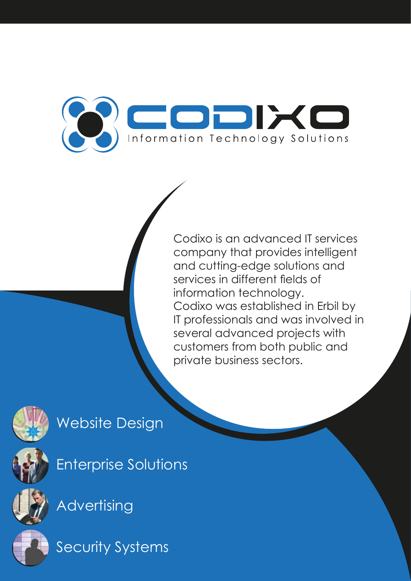

Codixo is an advanced IT services company that provides intelligent and cutting-edge solutions and services in different fields of information technology. Codixo was established in Erbil by IT professionals and was involved in several advanced projects with customers from both public and private business sectors.



# Website Design



Enterprise Solutions



**Advertising** 



Security Systems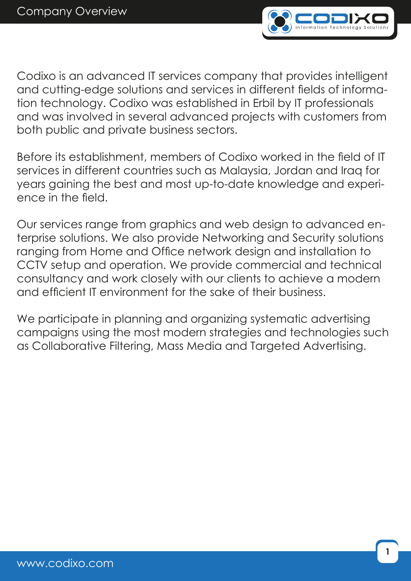

Codixo is an advanced IT services company that provides intelligent and cutting-edge solutions and services in different fields of information technology. Codixo was established in Erbil by IT professionals and was involved in several advanced projects with customers from both public and private business sectors.

Before its establishment, members of Codixo worked in the field of IT services in different countries such as Malaysia, Jordan and Iraq for years gaining the best and most up-to-date knowledge and experience in the field.

Our services range from graphics and web design to advanced enterprise solutions. We also provide Networking and Security solutions ranging from Home and Office network design and installation to CCTV setup and operation. We provide commercial and technical consultancy and work closely with our clients to achieve a modern and efficient IT environment for the sake of their business.

We participate in planning and organizing systematic advertising campaigns using the most modern strategies and technologies such as Collaborative Filtering, Mass Media and Targeted Advertising.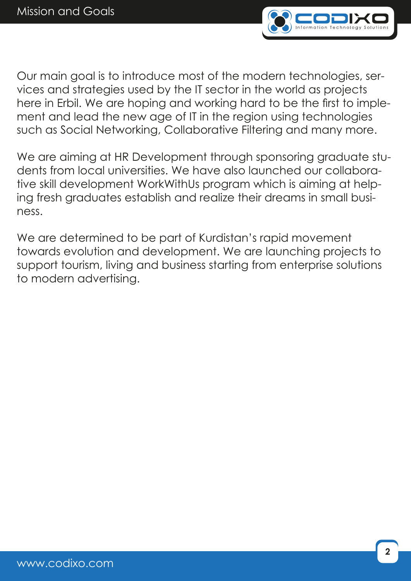

Our main goal is to introduce most of the modern technologies, services and strategies used by the IT sector in the world as projects here in Erbil. We are hoping and working hard to be the first to implement and lead the new age of IT in the region using technologies such as Social Networking, Collaborative Filtering and many more.

We are aiming at HR Development through sponsoring graduate students from local universities. We have also launched our collaborative skill development WorkWithUs program which is aiming at helping fresh graduates establish and realize their dreams in small business.

We are determined to be part of Kurdistan's rapid movement towards evolution and development. We are launching projects to support tourism, living and business starting from enterprise solutions to modern advertising.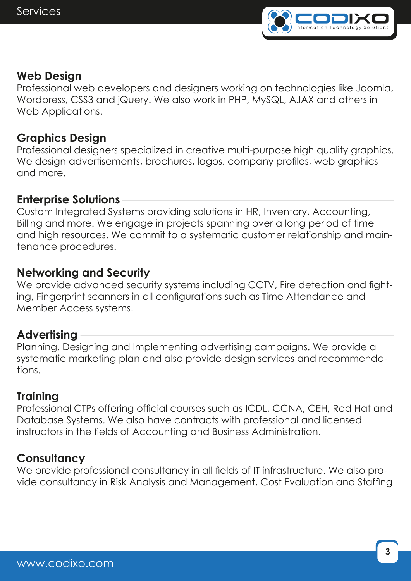

# **Web Design**

Professional web developers and designers working on technologies like Joomla, Wordpress, CSS3 and jQuery. We also work in PHP, MySQL, AJAX and others in Web Applications.

#### **Graphics Design**

Professional designers specialized in creative multi-purpose high quality graphics. We design advertisements, brochures, logos, company profiles, web graphics and more.

#### **Enterprise Solutions**

Custom Integrated Systems providing solutions in HR, Inventory, Accounting, Billing and more. We engage in projects spanning over a long period of time and high resources. We commit to a systematic customer relationship and maintenance procedures.

# **Networking and Security**

We provide advanced security systems including CCTV, Fire detection and fighting, Fingerprint scanners in all configurations such as Time Attendance and Member Access systems.

#### **Advertising**

Planning, Designing and Implementing advertising campaigns. We provide a systematic marketing plan and also provide design services and recommendations.

#### **Training**

Professional CTPs offering official courses such as ICDL, CCNA, CEH, Red Hat and Database Systems. We also have contracts with professional and licensed instructors in the fields of Accounting and Business Administration.

# **Consultancy**

We provide professional consultancy in all fields of IT infrastructure. We also provide consultancy in Risk Analysis and Management, Cost Evaluation and Staffing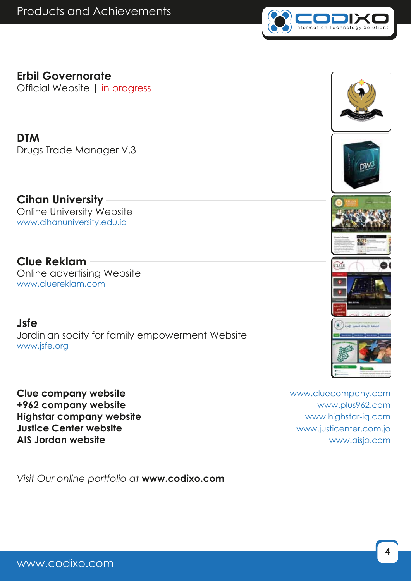

# **Erbil Governorate**

Official Website | in progress

#### **DTM**

Drugs Trade Manager V.3

# **Cihan University**

Online University Website www.cihanuniversity.edu.iq

# **Clue Reklam**

Online advertising Website www.cluereklam.com

#### **Jsfe**

Jordinian socity for family empowerment Website www.jsfe.org

| <b>Clue company website</b>     | - www.cluecompany.com    |
|---------------------------------|--------------------------|
| +962 company website            | - www.plus962.com        |
| <b>Highstar company website</b> | www.highstar-ig.com      |
| <b>Justice Center website</b>   | - www.justicenter.com.jo |
| AIS Jordan website              | - www.aisjo.com          |

*Visit Our online portfolio at* **www.codixo.com**









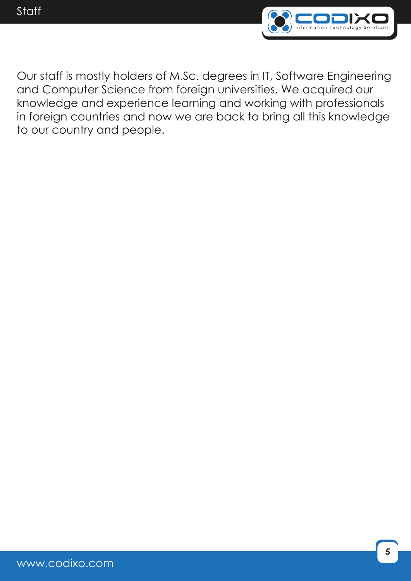

Our staff is mostly holders of M.Sc. degrees in IT, Software Engineering and Computer Science from foreign universities. We acquired our knowledge and experience learning and working with professionals in foreign countries and now we are back to bring all this knowledge to our country and people.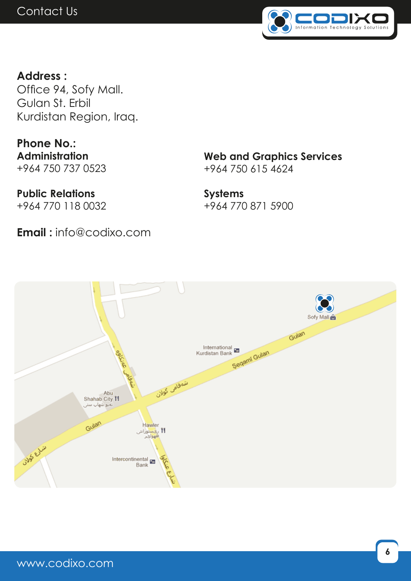

**Address :** Office 94, Sofy Mall. Gulan St. Erbil Kurdistan Region, Iraq.

**Phone No.: Administration** +964 750 737 0523

**Public Relations** +964 770 118 0032 **Web and Graphics Services** +964 750 615 4624

**Systems** +964 770 871 5900